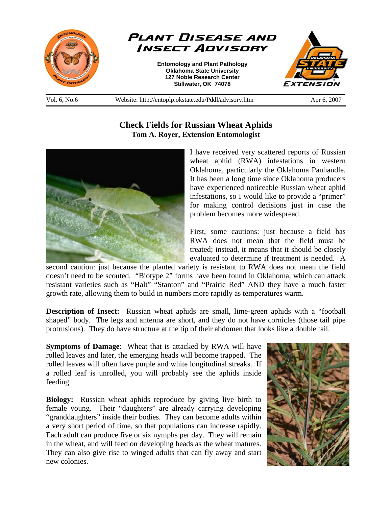

Vol. 6, No.6 Website: http://entoplp.okstate.edu/Pddl/advisory.htm Apr 6, 2007

## **Check Fields for Russian Wheat Aphids Tom A. Royer, Extension Entomologist**



I have received very scattered reports of Russian wheat aphid (RWA) infestations in western Oklahoma, particularly the Oklahoma Panhandle. It has been a long time since Oklahoma producers have experienced noticeable Russian wheat aphid infestations, so I would like to provide a "primer" for making control decisions just in case the problem becomes more widespread.

First, some cautions: just because a field has RWA does not mean that the field must be treated; instead, it means that it should be closely evaluated to determine if treatment is needed. A

second caution: just because the planted variety is resistant to RWA does not mean the field doesn't need to be scouted. "Biotype 2" forms have been found in Oklahoma, which can attack resistant varieties such as "Halt" "Stanton" and "Prairie Red" AND they have a much faster growth rate, allowing them to build in numbers more rapidly as temperatures warm.

**Description of Insect:** Russian wheat aphids are small, lime-green aphids with a "football shaped" body. The legs and antenna are short, and they do not have cornicles (those tail pipe protrusions). They do have structure at the tip of their abdomen that looks like a double tail.

**Symptoms of Damage**: Wheat that is attacked by RWA will have rolled leaves and later, the emerging heads will become trapped. The rolled leaves will often have purple and white longitudinal streaks. If a rolled leaf is unrolled, you will probably see the aphids inside feeding.

**Biology:** Russian wheat aphids reproduce by giving live birth to female young. Their "daughters" are already carrying developing "granddaughters" inside their bodies. They can become adults within a very short period of time, so that populations can increase rapidly. Each adult can produce five or six nymphs per day. They will remain in the wheat, and will feed on developing heads as the wheat matures. They can also give rise to winged adults that can fly away and start new colonies.